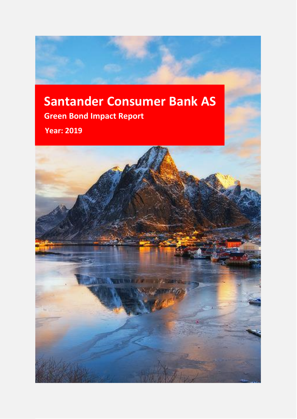# **Santander Consumer Bank AS Green Bond Impact Report**

**Year: 2019**